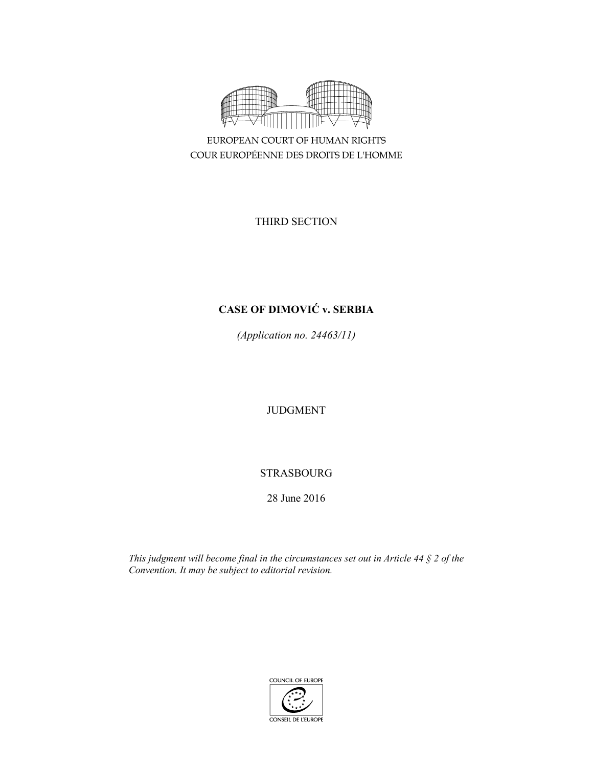

EUROPEAN COURT OF HUMAN RIGHTS COUR EUROPÉENNE DES DROITS DE L'HOMME

THIRD SECTION

# **CASE OF DIMOVIĆ v. SERBIA**

*(Application no. 24463/11)* 

JUDGMENT

# STRASBOURG

28 June 2016

*This judgment will become final in the circumstances set out in Article 44 § 2 of the Convention. It may be subject to editorial revision.*

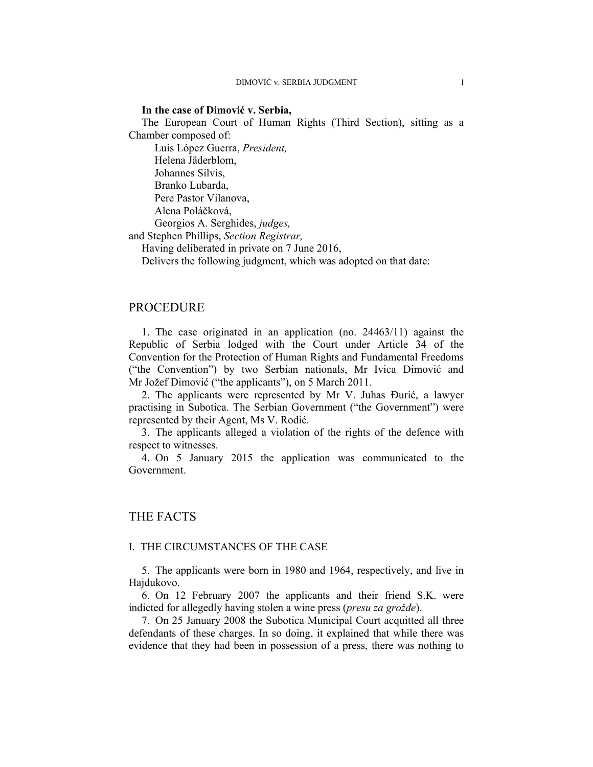#### **In the case of Dimović v. Serbia,**

The European Court of Human Rights (Third Section), sitting as a Chamber composed of:

Luis López Guerra, *President,* 

Helena Jäderblom,

Johannes Silvis,

Branko Lubarda,

Pere Pastor Vilanova,

Alena Poláčková,

Georgios A. Serghides, *judges,*

and Stephen Phillips, *Section Registrar,*

Having deliberated in private on 7 June 2016,

Delivers the following judgment, which was adopted on that date:

# PROCEDURE

1. The case originated in an application (no. 24463/11) against the Republic of Serbia lodged with the Court under Article 34 of the Convention for the Protection of Human Rights and Fundamental Freedoms ("the Convention") by two Serbian nationals, Mr Ivica Dimović and Mr Jožef Dimović ("the applicants"), on 5 March 2011.

2. The applicants were represented by Mr V. Juhas Đurić, a lawyer practising in Subotica. The Serbian Government ("the Government") were represented by their Agent, Ms V. Rodić.

3. The applicants alleged a violation of the rights of the defence with respect to witnesses.

4. On 5 January 2015 the application was communicated to the Government.

# THE FACTS

#### I. THE CIRCUMSTANCES OF THE CASE

5. The applicants were born in 1980 and 1964, respectively, and live in Hajdukovo.

6. On 12 February 2007 the applicants and their friend S.K. were indicted for allegedly having stolen a wine press (*presu za grožđe*).

7. On 25 January 2008 the Subotica Municipal Court acquitted all three defendants of these charges. In so doing, it explained that while there was evidence that they had been in possession of a press, there was nothing to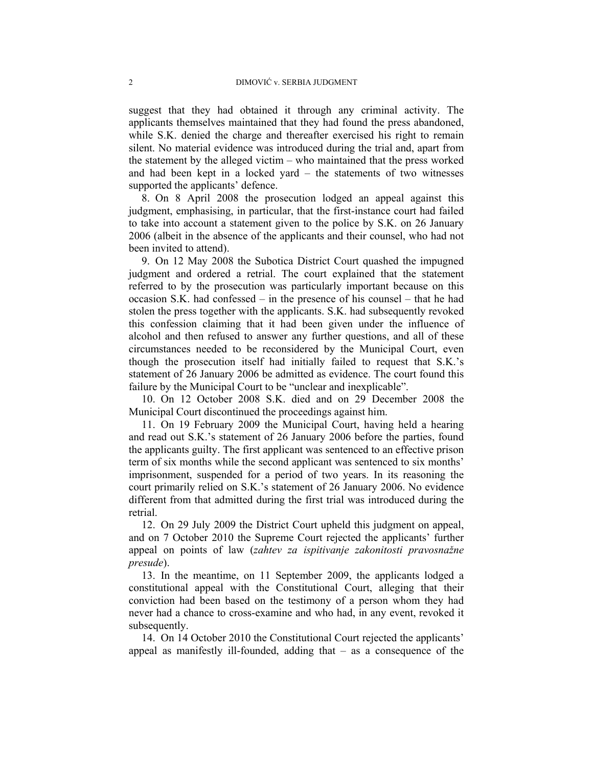suggest that they had obtained it through any criminal activity. The applicants themselves maintained that they had found the press abandoned, while S.K. denied the charge and thereafter exercised his right to remain silent. No material evidence was introduced during the trial and, apart from the statement by the alleged victim – who maintained that the press worked and had been kept in a locked yard  $-$  the statements of two witnesses supported the applicants' defence.

8. On 8 April 2008 the prosecution lodged an appeal against this judgment, emphasising, in particular, that the first-instance court had failed to take into account a statement given to the police by S.K. on 26 January 2006 (albeit in the absence of the applicants and their counsel, who had not been invited to attend).

9. On 12 May 2008 the Subotica District Court quashed the impugned judgment and ordered a retrial. The court explained that the statement referred to by the prosecution was particularly important because on this occasion S.K. had confessed – in the presence of his counsel – that he had stolen the press together with the applicants. S.K. had subsequently revoked this confession claiming that it had been given under the influence of alcohol and then refused to answer any further questions, and all of these circumstances needed to be reconsidered by the Municipal Court, even though the prosecution itself had initially failed to request that S.K.'s statement of 26 January 2006 be admitted as evidence. The court found this failure by the Municipal Court to be "unclear and inexplicable".

10. On 12 October 2008 S.K. died and on 29 December 2008 the Municipal Court discontinued the proceedings against him.

11. On 19 February 2009 the Municipal Court, having held a hearing and read out S.K.'s statement of 26 January 2006 before the parties, found the applicants guilty. The first applicant was sentenced to an effective prison term of six months while the second applicant was sentenced to six months' imprisonment, suspended for a period of two years. In its reasoning the court primarily relied on S.K.'s statement of 26 January 2006. No evidence different from that admitted during the first trial was introduced during the retrial.

12. On 29 July 2009 the District Court upheld this judgment on appeal, and on 7 October 2010 the Supreme Court rejected the applicants' further appeal on points of law (*zahtev za ispitivanje zakonitosti pravosnažne presude*).

13. In the meantime, on 11 September 2009, the applicants lodged a constitutional appeal with the Constitutional Court, alleging that their conviction had been based on the testimony of a person whom they had never had a chance to cross-examine and who had, in any event, revoked it subsequently.

14. On 14 October 2010 the Constitutional Court rejected the applicants' appeal as manifestly ill-founded, adding that  $-$  as a consequence of the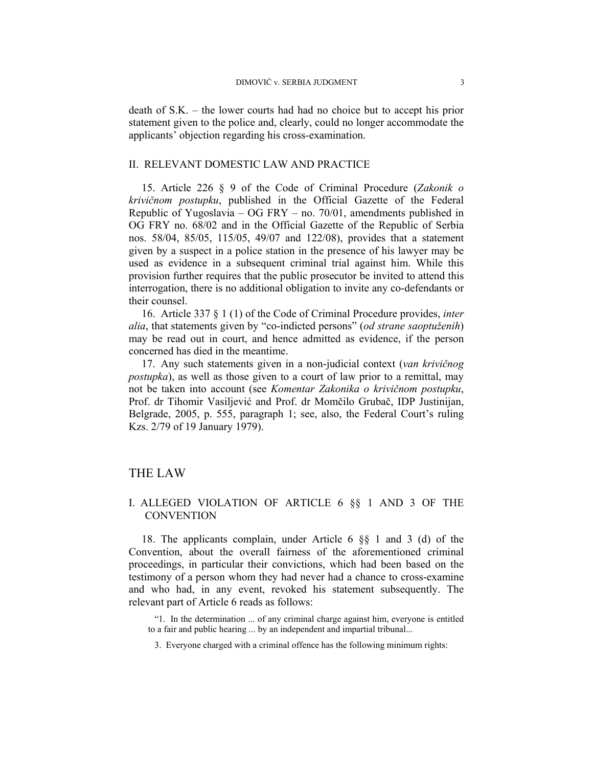death of S.K. ‒ the lower courts had had no choice but to accept his prior statement given to the police and, clearly, could no longer accommodate the applicants' objection regarding his cross-examination.

#### II. RELEVANT DOMESTIC LAW AND PRACTICE

15. Article 226 § 9 of the Code of Criminal Procedure (*Zakonik o krivičnom postupku*, published in the Official Gazette of the Federal Republic of Yugoslavia – OG FRY – no. 70/01, amendments published in OG FRY no. 68/02 and in the Official Gazette of the Republic of Serbia nos. 58/04, 85/05, 115/05, 49/07 and 122/08), provides that a statement given by a suspect in a police station in the presence of his lawyer may be used as evidence in a subsequent criminal trial against him. While this provision further requires that the public prosecutor be invited to attend this interrogation, there is no additional obligation to invite any co-defendants or their counsel.

16. Article 337 § 1 (1) of the Code of Criminal Procedure provides, *inter alia*, that statements given by "co-indicted persons" (*od strane saoptuženih*) may be read out in court, and hence admitted as evidence, if the person concerned has died in the meantime.

17. Any such statements given in a non-judicial context (*van krivičnog postupka*), as well as those given to a court of law prior to a remittal, may not be taken into account (see *Komentar Zakonika o krivičnom postupku*, Prof. dr Tihomir Vasiljević and Prof. dr Momčilo Grubač, IDP Justinijan, Belgrade, 2005, p. 555, paragraph 1; see, also, the Federal Court's ruling Kzs. 2/79 of 19 January 1979).

# THE LAW

# I. ALLEGED VIOLATION OF ARTICLE 6 §§ 1 AND 3 OF THE **CONVENTION**

18. The applicants complain, under Article 6 §§ 1 and 3 (d) of the Convention, about the overall fairness of the aforementioned criminal proceedings, in particular their convictions, which had been based on the testimony of a person whom they had never had a chance to cross-examine and who had, in any event, revoked his statement subsequently. The relevant part of Article 6 reads as follows:

- "1. In the determination ... of any criminal charge against him, everyone is entitled to a fair and public hearing ... by an independent and impartial tribunal...
	- 3. Everyone charged with a criminal offence has the following minimum rights: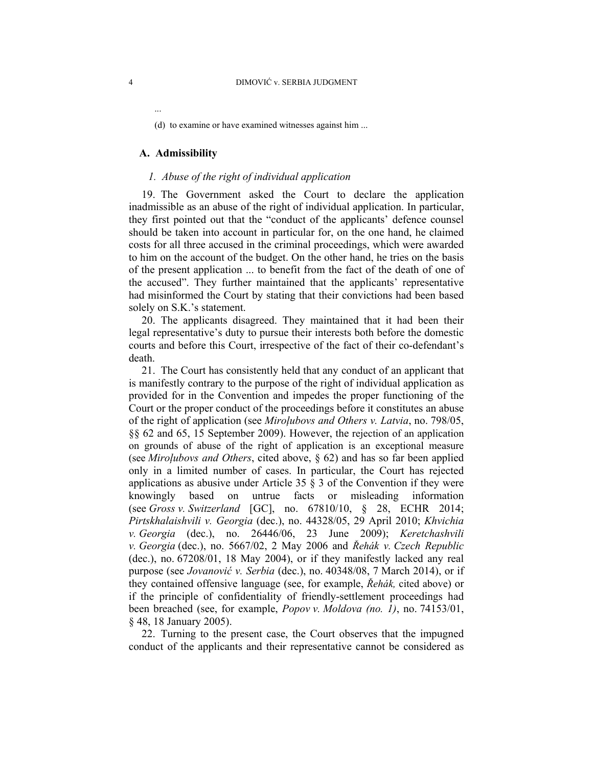(d) to examine or have examined witnesses against him ...

#### **A. Admissibility**

...

### *1. Abuse of the right of individual application*

19. The Government asked the Court to declare the application inadmissible as an abuse of the right of individual application. In particular, they first pointed out that the "conduct of the applicants' defence counsel should be taken into account in particular for, on the one hand, he claimed costs for all three accused in the criminal proceedings, which were awarded to him on the account of the budget. On the other hand, he tries on the basis of the present application ... to benefit from the fact of the death of one of the accused". They further maintained that the applicants' representative had misinformed the Court by stating that their convictions had been based solely on S.K.'s statement.

20. The applicants disagreed. They maintained that it had been their legal representative's duty to pursue their interests both before the domestic courts and before this Court, irrespective of the fact of their co-defendant's death.

21. The Court has consistently held that any conduct of an applicant that is manifestly contrary to the purpose of the right of individual application as provided for in the Convention and impedes the proper functioning of the Court or the proper conduct of the proceedings before it constitutes an abuse of the right of application (see *Miroļubovs and Others v. Latvia*, no. 798/05, §§ 62 and 65, 15 September 2009). However, the rejection of an application on grounds of abuse of the right of application is an exceptional measure (see *Miroļubovs and Others*, cited above, § 62) and has so far been applied only in a limited number of cases. In particular, the Court has rejected applications as abusive under Article 35  $\S$  3 of the Convention if they were knowingly based on untrue facts or misleading information (see *Gross v. Switzerland* [GC], no. 67810/10, § 28, ECHR 2014; *Pirtskhalaishvili v. Georgia* (dec.), no. 44328/05, 29 April 2010; *Khvichia v. Georgia* (dec.), no. 26446/06, 23 June 2009); *Keretchashvili v. Georgia* (dec.), no. 5667/02, 2 May 2006 and *Řehák v. Czech Republic* (dec.), no. 67208/01, 18 May 2004), or if they manifestly lacked any real purpose (see *Jovanović v. Serbia* (dec.), no. 40348/08, 7 March 2014), or if they contained offensive language (see, for example, *Řehák,* cited above) or if the principle of confidentiality of friendly-settlement proceedings had been breached (see, for example, *Popov v. Moldova (no. 1)*, no. 74153/01, § 48, 18 January 2005).

22. Turning to the present case, the Court observes that the impugned conduct of the applicants and their representative cannot be considered as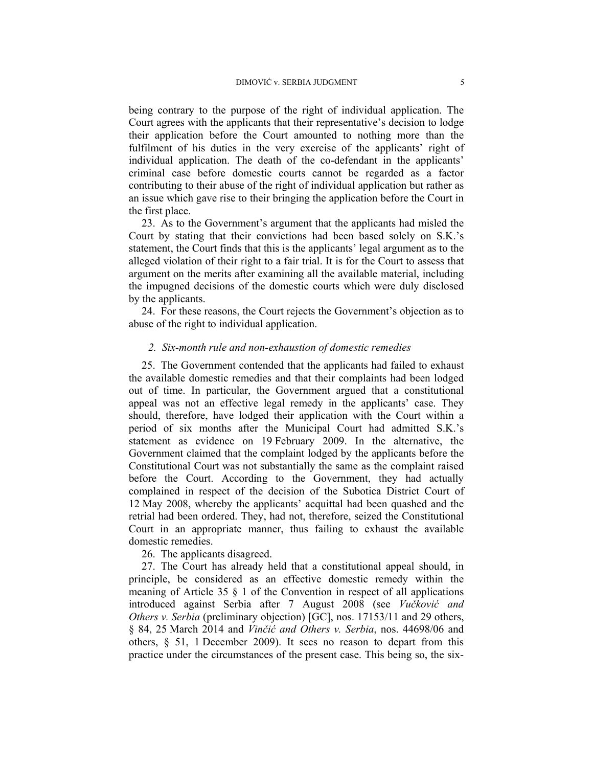being contrary to the purpose of the right of individual application. The Court agrees with the applicants that their representative's decision to lodge their application before the Court amounted to nothing more than the fulfilment of his duties in the very exercise of the applicants' right of individual application. The death of the co-defendant in the applicants' criminal case before domestic courts cannot be regarded as a factor contributing to their abuse of the right of individual application but rather as an issue which gave rise to their bringing the application before the Court in the first place.

23. As to the Government's argument that the applicants had misled the Court by stating that their convictions had been based solely on S.K.'s statement, the Court finds that this is the applicants' legal argument as to the alleged violation of their right to a fair trial. It is for the Court to assess that argument on the merits after examining all the available material, including the impugned decisions of the domestic courts which were duly disclosed by the applicants.

24. For these reasons, the Court rejects the Government's objection as to abuse of the right to individual application.

## *2. Six-month rule and non-exhaustion of domestic remedies*

25. The Government contended that the applicants had failed to exhaust the available domestic remedies and that their complaints had been lodged out of time. In particular, the Government argued that a constitutional appeal was not an effective legal remedy in the applicants' case. They should, therefore, have lodged their application with the Court within a period of six months after the Municipal Court had admitted S.K.'s statement as evidence on 19 February 2009. In the alternative, the Government claimed that the complaint lodged by the applicants before the Constitutional Court was not substantially the same as the complaint raised before the Court. According to the Government, they had actually complained in respect of the decision of the Subotica District Court of 12 May 2008, whereby the applicants' acquittal had been quashed and the retrial had been ordered. They, had not, therefore, seized the Constitutional Court in an appropriate manner, thus failing to exhaust the available domestic remedies.

## 26. The applicants disagreed.

27. The Court has already held that a constitutional appeal should, in principle, be considered as an effective domestic remedy within the meaning of Article 35  $\S$  1 of the Convention in respect of all applications introduced against Serbia after 7 August 2008 (see *Vučković and Others v. Serbia* (preliminary objection) [GC], nos. 17153/11 and 29 others, § 84, 25 March 2014 and *Vinčić and Others v. Serbia*, nos. 44698/06 and others, § 51, 1 December 2009). It sees no reason to depart from this practice under the circumstances of the present case. This being so, the six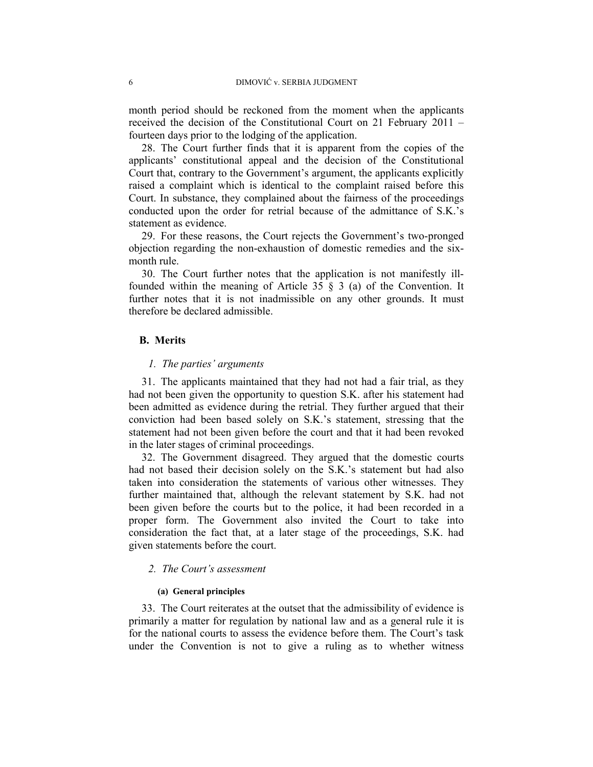month period should be reckoned from the moment when the applicants received the decision of the Constitutional Court on 21 February 2011 – fourteen days prior to the lodging of the application.

28. The Court further finds that it is apparent from the copies of the applicants' constitutional appeal and the decision of the Constitutional Court that, contrary to the Government's argument, the applicants explicitly raised a complaint which is identical to the complaint raised before this Court. In substance, they complained about the fairness of the proceedings conducted upon the order for retrial because of the admittance of S.K.'s statement as evidence.

29. For these reasons, the Court rejects the Government's two-pronged objection regarding the non-exhaustion of domestic remedies and the sixmonth rule.

30. The Court further notes that the application is not manifestly illfounded within the meaning of Article 35 § 3 (a) of the Convention. It further notes that it is not inadmissible on any other grounds. It must therefore be declared admissible.

# **B. Merits**

## *1. The parties' arguments*

31. The applicants maintained that they had not had a fair trial, as they had not been given the opportunity to question S.K. after his statement had been admitted as evidence during the retrial. They further argued that their conviction had been based solely on S.K.'s statement, stressing that the statement had not been given before the court and that it had been revoked in the later stages of criminal proceedings.

32. The Government disagreed. They argued that the domestic courts had not based their decision solely on the S.K.'s statement but had also taken into consideration the statements of various other witnesses. They further maintained that, although the relevant statement by S.K. had not been given before the courts but to the police, it had been recorded in a proper form. The Government also invited the Court to take into consideration the fact that, at a later stage of the proceedings, S.K. had given statements before the court.

## *2. The Court's assessment*

#### **(a) General principles**

33. The Court reiterates at the outset that the admissibility of evidence is primarily a matter for regulation by national law and as a general rule it is for the national courts to assess the evidence before them. The Court's task under the Convention is not to give a ruling as to whether witness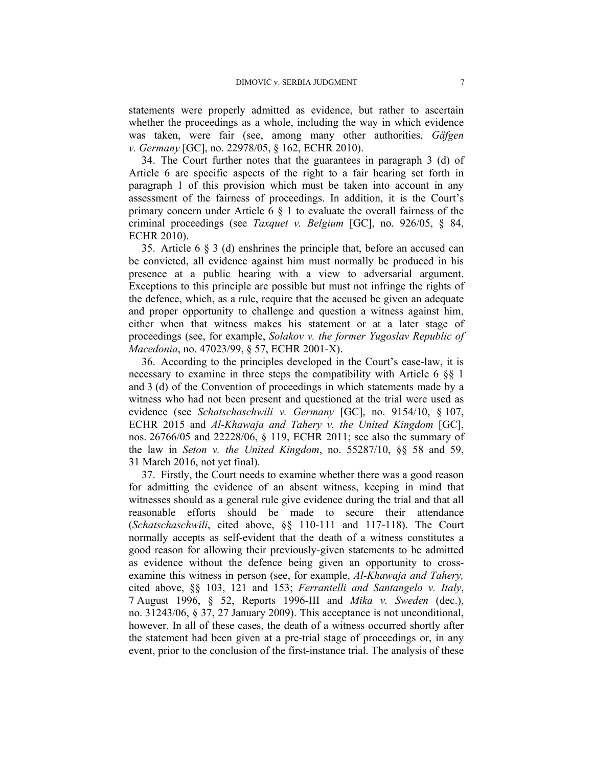statements were properly admitted as evidence, but rather to ascertain whether the proceedings as a whole, including the way in which evidence was taken, were fair (see, among many other authorities, *Gäfgen v. Germany* [GC], no. 22978/05, § 162, ECHR 2010).

34. The Court further notes that the guarantees in paragraph 3 (d) of Article 6 are specific aspects of the right to a fair hearing set forth in paragraph 1 of this provision which must be taken into account in any assessment of the fairness of proceedings. In addition, it is the Court's primary concern under Article  $6 \S 1$  to evaluate the overall fairness of the criminal proceedings (see *Taxquet v. Belgium* [GC], no. 926/05, § 84, ECHR 2010).

35. Article 6 § 3 (d) enshrines the principle that, before an accused can be convicted, all evidence against him must normally be produced in his presence at a public hearing with a view to adversarial argument. Exceptions to this principle are possible but must not infringe the rights of the defence, which, as a rule, require that the accused be given an adequate and proper opportunity to challenge and question a witness against him, either when that witness makes his statement or at a later stage of proceedings (see, for example, *Solakov v. the former Yugoslav Republic of Macedonia*, no. 47023/99, § 57, ECHR 2001-X).

36. According to the principles developed in the Court's case-law, it is necessary to examine in three steps the compatibility with Article 6 §§ 1 and 3 (d) of the Convention of proceedings in which statements made by a witness who had not been present and questioned at the trial were used as evidence (see *Schatschaschwili v. Germany* [GC], no. 9154/10, § 107, ECHR 2015 and *Al-Khawaja and Tahery v. the United Kingdom* [GC], nos. 26766/05 and 22228/06, § 119, ECHR 2011; see also the summary of the law in *Seton v. the United Kingdom*, no. 55287/10, §§ 58 and 59, 31 March 2016, not yet final).

37. Firstly, the Court needs to examine whether there was a good reason for admitting the evidence of an absent witness, keeping in mind that witnesses should as a general rule give evidence during the trial and that all reasonable efforts should be made to secure their attendance (*Schatschaschwili*, cited above, §§ 110-111 and 117-118). The Court normally accepts as self-evident that the death of a witness constitutes a good reason for allowing their previously-given statements to be admitted as evidence without the defence being given an opportunity to crossexamine this witness in person (see, for example, *Al-Khawaja and Tahery,*  cited above, §§ 103, 121 and 153; *Ferrantelli and Santangelo v. Italy*, 7 August 1996, § 52, Reports 1996-III and *Mika v. Sweden* (dec.), no. 31243/06, § 37, 27 January 2009). This acceptance is not unconditional, however. In all of these cases, the death of a witness occurred shortly after the statement had been given at a pre-trial stage of proceedings or, in any event, prior to the conclusion of the first-instance trial. The analysis of these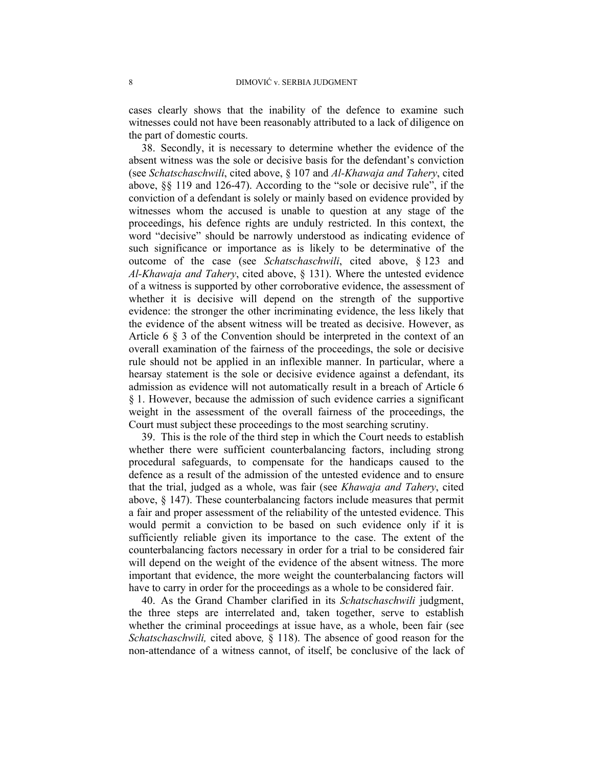cases clearly shows that the inability of the defence to examine such witnesses could not have been reasonably attributed to a lack of diligence on the part of domestic courts.

38. Secondly, it is necessary to determine whether the evidence of the absent witness was the sole or decisive basis for the defendant's conviction (see *Schatschaschwili*, cited above, § 107 and *Al-Khawaja and Tahery*, cited above, §§ 119 and 126-47). According to the "sole or decisive rule", if the conviction of a defendant is solely or mainly based on evidence provided by witnesses whom the accused is unable to question at any stage of the proceedings, his defence rights are unduly restricted. In this context, the word "decisive" should be narrowly understood as indicating evidence of such significance or importance as is likely to be determinative of the outcome of the case (see *Schatschaschwili*, cited above, § 123 and *Al-Khawaja and Tahery*, cited above, § 131). Where the untested evidence of a witness is supported by other corroborative evidence, the assessment of whether it is decisive will depend on the strength of the supportive evidence: the stronger the other incriminating evidence, the less likely that the evidence of the absent witness will be treated as decisive. However, as Article 6 § 3 of the Convention should be interpreted in the context of an overall examination of the fairness of the proceedings, the sole or decisive rule should not be applied in an inflexible manner. In particular, where a hearsay statement is the sole or decisive evidence against a defendant, its admission as evidence will not automatically result in a breach of Article 6 § 1. However, because the admission of such evidence carries a significant weight in the assessment of the overall fairness of the proceedings, the Court must subject these proceedings to the most searching scrutiny.

39. This is the role of the third step in which the Court needs to establish whether there were sufficient counterbalancing factors, including strong procedural safeguards, to compensate for the handicaps caused to the defence as a result of the admission of the untested evidence and to ensure that the trial, judged as a whole, was fair (see *Khawaja and Tahery*, cited above, § 147). These counterbalancing factors include measures that permit a fair and proper assessment of the reliability of the untested evidence. This would permit a conviction to be based on such evidence only if it is sufficiently reliable given its importance to the case. The extent of the counterbalancing factors necessary in order for a trial to be considered fair will depend on the weight of the evidence of the absent witness. The more important that evidence, the more weight the counterbalancing factors will have to carry in order for the proceedings as a whole to be considered fair.

40. As the Grand Chamber clarified in its *Schatschaschwili* judgment, the three steps are interrelated and, taken together, serve to establish whether the criminal proceedings at issue have, as a whole, been fair (see *Schatschaschwili,* cited above*,* § 118). The absence of good reason for the non-attendance of a witness cannot, of itself, be conclusive of the lack of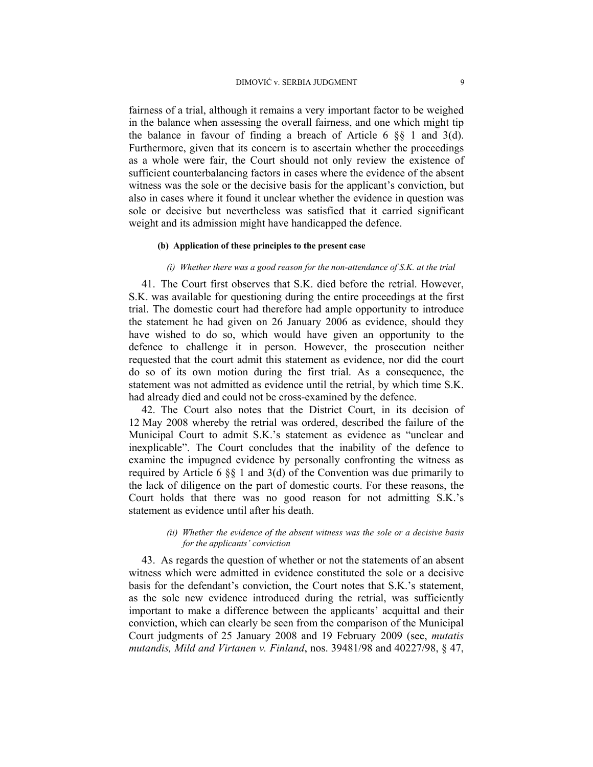fairness of a trial, although it remains a very important factor to be weighed in the balance when assessing the overall fairness, and one which might tip the balance in favour of finding a breach of Article 6  $\S$  1 and 3(d). Furthermore, given that its concern is to ascertain whether the proceedings as a whole were fair, the Court should not only review the existence of sufficient counterbalancing factors in cases where the evidence of the absent witness was the sole or the decisive basis for the applicant's conviction, but also in cases where it found it unclear whether the evidence in question was sole or decisive but nevertheless was satisfied that it carried significant weight and its admission might have handicapped the defence.

#### **(b) Application of these principles to the present case**

## *(i) Whether there was a good reason for the non-attendance of S.K. at the trial*

41. The Court first observes that S.K. died before the retrial. However, S.K. was available for questioning during the entire proceedings at the first trial. The domestic court had therefore had ample opportunity to introduce the statement he had given on 26 January 2006 as evidence, should they have wished to do so, which would have given an opportunity to the defence to challenge it in person. However, the prosecution neither requested that the court admit this statement as evidence, nor did the court do so of its own motion during the first trial. As a consequence, the statement was not admitted as evidence until the retrial, by which time S.K. had already died and could not be cross-examined by the defence.

42. The Court also notes that the District Court, in its decision of 12 May 2008 whereby the retrial was ordered, described the failure of the Municipal Court to admit S.K.'s statement as evidence as "unclear and inexplicable". The Court concludes that the inability of the defence to examine the impugned evidence by personally confronting the witness as required by Article 6 §§ 1 and 3(d) of the Convention was due primarily to the lack of diligence on the part of domestic courts. For these reasons, the Court holds that there was no good reason for not admitting S.K.'s statement as evidence until after his death.

### *(ii) Whether the evidence of the absent witness was the sole or a decisive basis for the applicants' conviction*

43. As regards the question of whether or not the statements of an absent witness which were admitted in evidence constituted the sole or a decisive basis for the defendant's conviction, the Court notes that S.K.'s statement, as the sole new evidence introduced during the retrial, was sufficiently important to make a difference between the applicants' acquittal and their conviction, which can clearly be seen from the comparison of the Municipal Court judgments of 25 January 2008 and 19 February 2009 (see, *mutatis mutandis, Mild and Virtanen v. Finland*, nos. 39481/98 and 40227/98, § 47,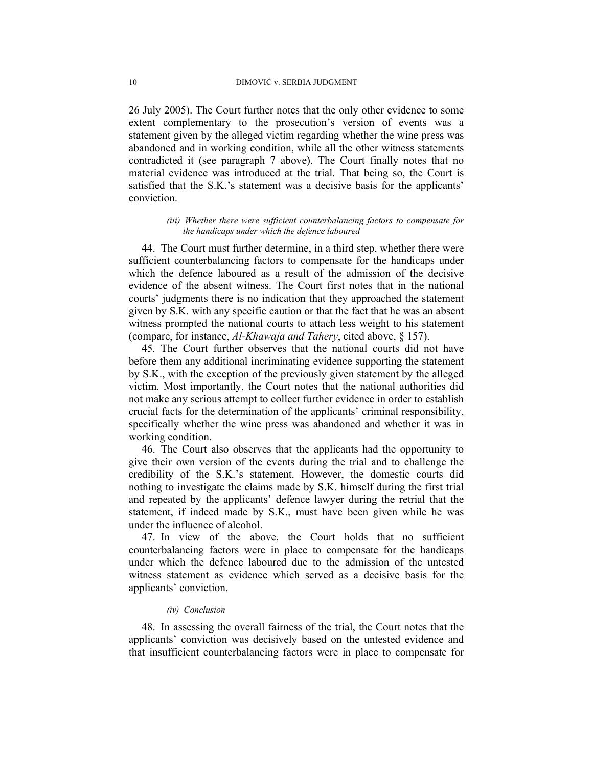26 July 2005). The Court further notes that the only other evidence to some extent complementary to the prosecution's version of events was a statement given by the alleged victim regarding whether the wine press was abandoned and in working condition, while all the other witness statements contradicted it (see paragraph 7 above). The Court finally notes that no material evidence was introduced at the trial. That being so, the Court is satisfied that the S.K.'s statement was a decisive basis for the applicants' conviction.

## *(iii) Whether there were sufficient counterbalancing factors to compensate for the handicaps under which the defence laboured*

44. The Court must further determine, in a third step, whether there were sufficient counterbalancing factors to compensate for the handicaps under which the defence laboured as a result of the admission of the decisive evidence of the absent witness. The Court first notes that in the national courts' judgments there is no indication that they approached the statement given by S.K. with any specific caution or that the fact that he was an absent witness prompted the national courts to attach less weight to his statement (compare, for instance, *Al-Khawaja and Tahery*, cited above, § 157).

45. The Court further observes that the national courts did not have before them any additional incriminating evidence supporting the statement by S.K., with the exception of the previously given statement by the alleged victim. Most importantly, the Court notes that the national authorities did not make any serious attempt to collect further evidence in order to establish crucial facts for the determination of the applicants' criminal responsibility, specifically whether the wine press was abandoned and whether it was in working condition.

46. The Court also observes that the applicants had the opportunity to give their own version of the events during the trial and to challenge the credibility of the S.K.'s statement. However, the domestic courts did nothing to investigate the claims made by S.K. himself during the first trial and repeated by the applicants' defence lawyer during the retrial that the statement, if indeed made by S.K., must have been given while he was under the influence of alcohol.

47. In view of the above, the Court holds that no sufficient counterbalancing factors were in place to compensate for the handicaps under which the defence laboured due to the admission of the untested witness statement as evidence which served as a decisive basis for the applicants' conviction.

#### *(iv) Conclusion*

48. In assessing the overall fairness of the trial, the Court notes that the applicants' conviction was decisively based on the untested evidence and that insufficient counterbalancing factors were in place to compensate for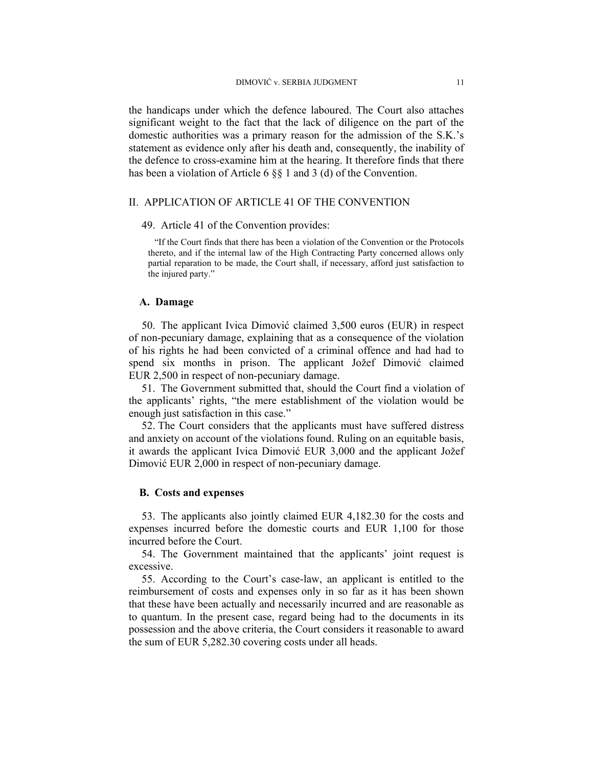the handicaps under which the defence laboured. The Court also attaches significant weight to the fact that the lack of diligence on the part of the domestic authorities was a primary reason for the admission of the S.K.'s statement as evidence only after his death and, consequently, the inability of the defence to cross-examine him at the hearing. It therefore finds that there has been a violation of Article 6 §§ 1 and 3 (d) of the Convention.

# II. APPLICATION OF ARTICLE 41 OF THE CONVENTION

#### 49. Article 41 of the Convention provides:

"If the Court finds that there has been a violation of the Convention or the Protocols thereto, and if the internal law of the High Contracting Party concerned allows only partial reparation to be made, the Court shall, if necessary, afford just satisfaction to the injured party."

#### **A. Damage**

50. The applicant Ivica Dimović claimed 3,500 euros (EUR) in respect of non-pecuniary damage, explaining that as a consequence of the violation of his rights he had been convicted of a criminal offence and had had to spend six months in prison. The applicant Jožef Dimović claimed EUR 2,500 in respect of non-pecuniary damage.

51. The Government submitted that, should the Court find a violation of the applicants' rights, "the mere establishment of the violation would be enough just satisfaction in this case."

52. The Court considers that the applicants must have suffered distress and anxiety on account of the violations found. Ruling on an equitable basis, it awards the applicant Ivica Dimović EUR 3,000 and the applicant Jožef Dimović EUR 2,000 in respect of non-pecuniary damage.

#### **B. Costs and expenses**

53. The applicants also jointly claimed EUR 4,182.30 for the costs and expenses incurred before the domestic courts and EUR 1,100 for those incurred before the Court.

54. The Government maintained that the applicants' joint request is excessive.

55. According to the Court's case-law, an applicant is entitled to the reimbursement of costs and expenses only in so far as it has been shown that these have been actually and necessarily incurred and are reasonable as to quantum. In the present case, regard being had to the documents in its possession and the above criteria, the Court considers it reasonable to award the sum of EUR 5,282.30 covering costs under all heads.